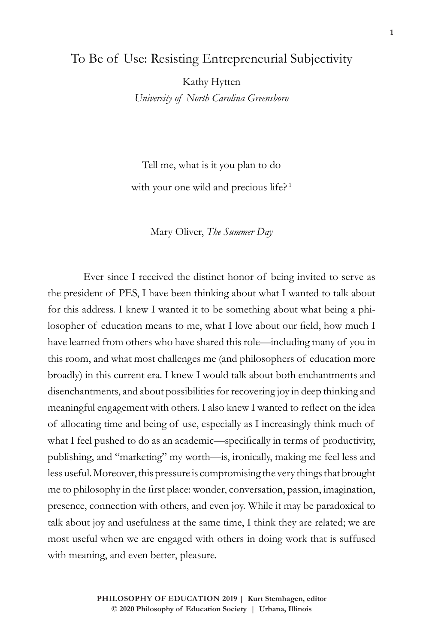## To Be of Use: Resisting Entrepreneurial Subjectivity

Kathy Hytten *University of North Carolina Greensboro*

Tell me, what is it you plan to do with your one wild and precious life?<sup>1</sup>

Mary Oliver, *The Summer Day*

Ever since I received the distinct honor of being invited to serve as the president of PES, I have been thinking about what I wanted to talk about for this address. I knew I wanted it to be something about what being a philosopher of education means to me, what I love about our field, how much I have learned from others who have shared this role—including many of you in this room, and what most challenges me (and philosophers of education more broadly) in this current era. I knew I would talk about both enchantments and disenchantments, and about possibilities for recovering joy in deep thinking and meaningful engagement with others. I also knew I wanted to reflect on the idea of allocating time and being of use, especially as I increasingly think much of what I feel pushed to do as an academic—specifically in terms of productivity, publishing, and "marketing" my worth—is, ironically, making me feel less and less useful. Moreover, this pressure is compromising the very things that brought me to philosophy in the first place: wonder, conversation, passion, imagination, presence, connection with others, and even joy. While it may be paradoxical to talk about joy and usefulness at the same time, I think they are related; we are most useful when we are engaged with others in doing work that is suffused with meaning, and even better, pleasure.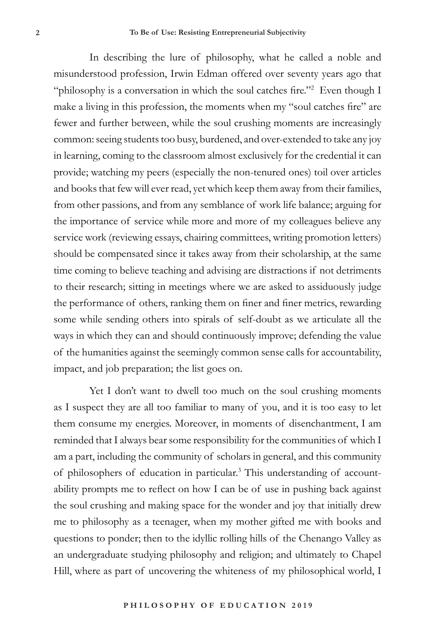In describing the lure of philosophy, what he called a noble and misunderstood profession, Irwin Edman offered over seventy years ago that "philosophy is a conversation in which the soul catches fire."<sup>2</sup> Even though I make a living in this profession, the moments when my "soul catches fire" are fewer and further between, while the soul crushing moments are increasingly common: seeing students too busy, burdened, and over-extended to take any joy in learning, coming to the classroom almost exclusively for the credential it can provide; watching my peers (especially the non-tenured ones) toil over articles and books that few will ever read, yet which keep them away from their families, from other passions, and from any semblance of work life balance; arguing for the importance of service while more and more of my colleagues believe any service work (reviewing essays, chairing committees, writing promotion letters) should be compensated since it takes away from their scholarship, at the same time coming to believe teaching and advising are distractions if not detriments to their research; sitting in meetings where we are asked to assiduously judge the performance of others, ranking them on finer and finer metrics, rewarding some while sending others into spirals of self-doubt as we articulate all the ways in which they can and should continuously improve; defending the value of the humanities against the seemingly common sense calls for accountability, impact, and job preparation; the list goes on.

Yet I don't want to dwell too much on the soul crushing moments as I suspect they are all too familiar to many of you, and it is too easy to let them consume my energies. Moreover, in moments of disenchantment, I am reminded that I always bear some responsibility for the communities of which I am a part, including the community of scholars in general, and this community of philosophers of education in particular.<sup>3</sup> This understanding of accountability prompts me to reflect on how I can be of use in pushing back against the soul crushing and making space for the wonder and joy that initially drew me to philosophy as a teenager, when my mother gifted me with books and questions to ponder; then to the idyllic rolling hills of the Chenango Valley as an undergraduate studying philosophy and religion; and ultimately to Chapel Hill, where as part of uncovering the whiteness of my philosophical world, I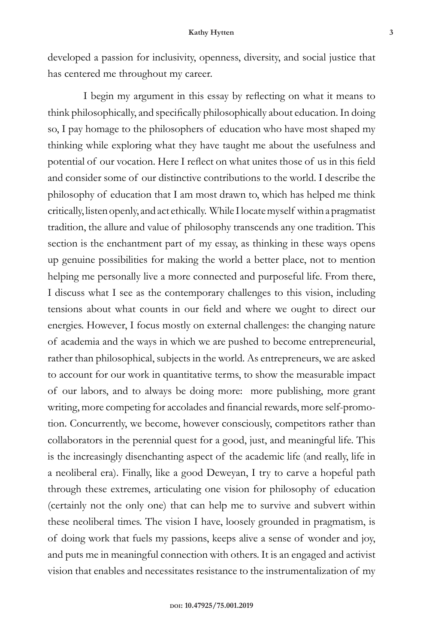developed a passion for inclusivity, openness, diversity, and social justice that has centered me throughout my career.

I begin my argument in this essay by reflecting on what it means to think philosophically, and specifically philosophically about education. In doing so, I pay homage to the philosophers of education who have most shaped my thinking while exploring what they have taught me about the usefulness and potential of our vocation. Here I reflect on what unites those of us in this field and consider some of our distinctive contributions to the world. I describe the philosophy of education that I am most drawn to, which has helped me think critically, listen openly, and act ethically. While I locate myself within a pragmatist tradition, the allure and value of philosophy transcends any one tradition. This section is the enchantment part of my essay, as thinking in these ways opens up genuine possibilities for making the world a better place, not to mention helping me personally live a more connected and purposeful life. From there, I discuss what I see as the contemporary challenges to this vision, including tensions about what counts in our field and where we ought to direct our energies. However, I focus mostly on external challenges: the changing nature of academia and the ways in which we are pushed to become entrepreneurial, rather than philosophical, subjects in the world. As entrepreneurs, we are asked to account for our work in quantitative terms, to show the measurable impact of our labors, and to always be doing more: more publishing, more grant writing, more competing for accolades and financial rewards, more self-promotion. Concurrently, we become, however consciously, competitors rather than collaborators in the perennial quest for a good, just, and meaningful life. This is the increasingly disenchanting aspect of the academic life (and really, life in a neoliberal era). Finally, like a good Deweyan, I try to carve a hopeful path through these extremes, articulating one vision for philosophy of education (certainly not the only one) that can help me to survive and subvert within these neoliberal times. The vision I have, loosely grounded in pragmatism, is of doing work that fuels my passions, keeps alive a sense of wonder and joy, and puts me in meaningful connection with others. It is an engaged and activist vision that enables and necessitates resistance to the instrumentalization of my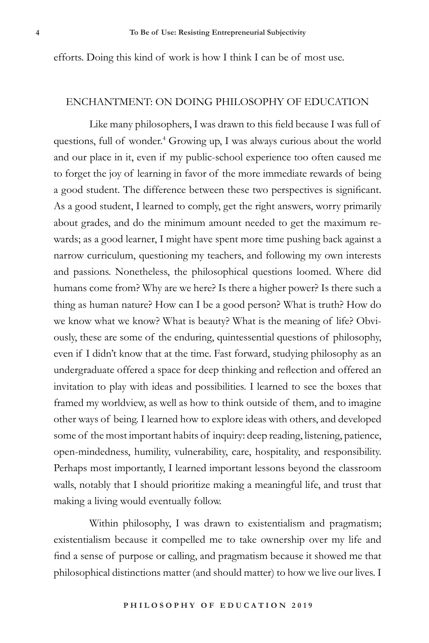efforts. Doing this kind of work is how I think I can be of most use.

## ENCHANTMENT: ON DOING PHILOSOPHY OF EDUCATION

Like many philosophers, I was drawn to this field because I was full of questions, full of wonder.<sup>4</sup> Growing up, I was always curious about the world and our place in it, even if my public-school experience too often caused me to forget the joy of learning in favor of the more immediate rewards of being a good student. The difference between these two perspectives is significant. As a good student, I learned to comply, get the right answers, worry primarily about grades, and do the minimum amount needed to get the maximum rewards; as a good learner, I might have spent more time pushing back against a narrow curriculum, questioning my teachers, and following my own interests and passions. Nonetheless, the philosophical questions loomed. Where did humans come from? Why are we here? Is there a higher power? Is there such a thing as human nature? How can I be a good person? What is truth? How do we know what we know? What is beauty? What is the meaning of life? Obviously, these are some of the enduring, quintessential questions of philosophy, even if I didn't know that at the time. Fast forward, studying philosophy as an undergraduate offered a space for deep thinking and reflection and offered an invitation to play with ideas and possibilities. I learned to see the boxes that framed my worldview, as well as how to think outside of them, and to imagine other ways of being. I learned how to explore ideas with others, and developed some of the most important habits of inquiry: deep reading, listening, patience, open-mindedness, humility, vulnerability, care, hospitality, and responsibility. Perhaps most importantly, I learned important lessons beyond the classroom walls, notably that I should prioritize making a meaningful life, and trust that making a living would eventually follow.

Within philosophy, I was drawn to existentialism and pragmatism; existentialism because it compelled me to take ownership over my life and find a sense of purpose or calling, and pragmatism because it showed me that philosophical distinctions matter (and should matter) to how we live our lives. I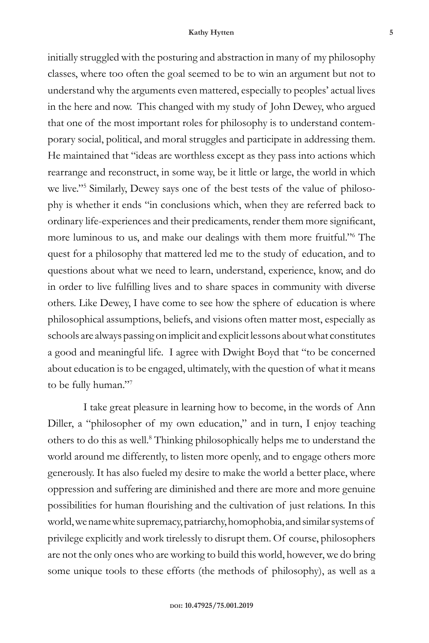initially struggled with the posturing and abstraction in many of my philosophy classes, where too often the goal seemed to be to win an argument but not to understand why the arguments even mattered, especially to peoples' actual lives in the here and now. This changed with my study of John Dewey, who argued that one of the most important roles for philosophy is to understand contemporary social, political, and moral struggles and participate in addressing them. He maintained that "ideas are worthless except as they pass into actions which rearrange and reconstruct, in some way, be it little or large, the world in which we live."5 Similarly, Dewey says one of the best tests of the value of philosophy is whether it ends "in conclusions which, when they are referred back to ordinary life-experiences and their predicaments, render them more significant, more luminous to us, and make our dealings with them more fruitful."6 The quest for a philosophy that mattered led me to the study of education, and to questions about what we need to learn, understand, experience, know, and do in order to live fulfilling lives and to share spaces in community with diverse others. Like Dewey, I have come to see how the sphere of education is where philosophical assumptions, beliefs, and visions often matter most, especially as schools are always passing on implicit and explicit lessons about what constitutes a good and meaningful life. I agree with Dwight Boyd that "to be concerned about education is to be engaged, ultimately, with the question of what it means to be fully human."7

I take great pleasure in learning how to become, in the words of Ann Diller, a "philosopher of my own education," and in turn, I enjoy teaching others to do this as well.<sup>8</sup> Thinking philosophically helps me to understand the world around me differently, to listen more openly, and to engage others more generously. It has also fueled my desire to make the world a better place, where oppression and suffering are diminished and there are more and more genuine possibilities for human flourishing and the cultivation of just relations. In this world, we name white supremacy, patriarchy, homophobia, and similar systems of privilege explicitly and work tirelessly to disrupt them. Of course, philosophers are not the only ones who are working to build this world, however, we do bring some unique tools to these efforts (the methods of philosophy), as well as a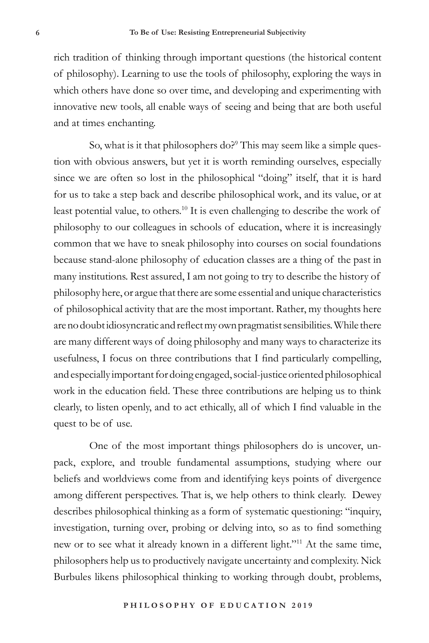rich tradition of thinking through important questions (the historical content of philosophy). Learning to use the tools of philosophy, exploring the ways in which others have done so over time, and developing and experimenting with innovative new tools, all enable ways of seeing and being that are both useful and at times enchanting.

So, what is it that philosophers do?<sup>9</sup> This may seem like a simple question with obvious answers, but yet it is worth reminding ourselves, especially since we are often so lost in the philosophical "doing" itself, that it is hard for us to take a step back and describe philosophical work, and its value, or at least potential value, to others.<sup>10</sup> It is even challenging to describe the work of philosophy to our colleagues in schools of education, where it is increasingly common that we have to sneak philosophy into courses on social foundations because stand-alone philosophy of education classes are a thing of the past in many institutions. Rest assured, I am not going to try to describe the history of philosophy here, or argue that there are some essential and unique characteristics of philosophical activity that are the most important. Rather, my thoughts here are no doubt idiosyncratic and reflect my own pragmatist sensibilities. While there are many different ways of doing philosophy and many ways to characterize its usefulness, I focus on three contributions that I find particularly compelling, and especially important for doing engaged, social-justice oriented philosophical work in the education field. These three contributions are helping us to think clearly, to listen openly, and to act ethically, all of which I find valuable in the quest to be of use.

One of the most important things philosophers do is uncover, unpack, explore, and trouble fundamental assumptions, studying where our beliefs and worldviews come from and identifying keys points of divergence among different perspectives. That is, we help others to think clearly. Dewey describes philosophical thinking as a form of systematic questioning: "inquiry, investigation, turning over, probing or delving into, so as to find something new or to see what it already known in a different light."11 At the same time, philosophers help us to productively navigate uncertainty and complexity. Nick Burbules likens philosophical thinking to working through doubt, problems,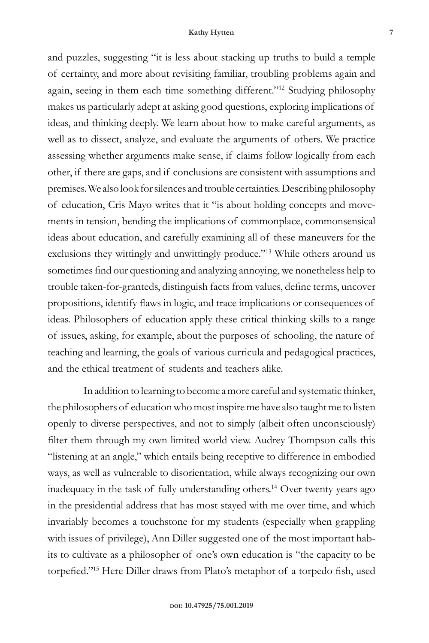and puzzles, suggesting "it is less about stacking up truths to build a temple of certainty, and more about revisiting familiar, troubling problems again and again, seeing in them each time something different."12 Studying philosophy makes us particularly adept at asking good questions, exploring implications of ideas, and thinking deeply. We learn about how to make careful arguments, as well as to dissect, analyze, and evaluate the arguments of others. We practice assessing whether arguments make sense, if claims follow logically from each other, if there are gaps, and if conclusions are consistent with assumptions and premises. We also look for silences and trouble certainties. Describing philosophy of education, Cris Mayo writes that it "is about holding concepts and movements in tension, bending the implications of commonplace, commonsensical ideas about education, and carefully examining all of these maneuvers for the exclusions they wittingly and unwittingly produce."13 While others around us sometimes find our questioning and analyzing annoying, we nonetheless help to trouble taken-for-granteds, distinguish facts from values, define terms, uncover propositions, identify flaws in logic, and trace implications or consequences of ideas. Philosophers of education apply these critical thinking skills to a range of issues, asking, for example, about the purposes of schooling, the nature of teaching and learning, the goals of various curricula and pedagogical practices, and the ethical treatment of students and teachers alike.

In addition to learning to become a more careful and systematic thinker, the philosophers of education who most inspire me have also taught me to listen openly to diverse perspectives, and not to simply (albeit often unconsciously) filter them through my own limited world view. Audrey Thompson calls this "listening at an angle," which entails being receptive to difference in embodied ways, as well as vulnerable to disorientation, while always recognizing our own inadequacy in the task of fully understanding others.<sup>14</sup> Over twenty years ago in the presidential address that has most stayed with me over time, and which invariably becomes a touchstone for my students (especially when grappling with issues of privilege), Ann Diller suggested one of the most important habits to cultivate as a philosopher of one's own education is "the capacity to be torpefied."15 Here Diller draws from Plato's metaphor of a torpedo fish, used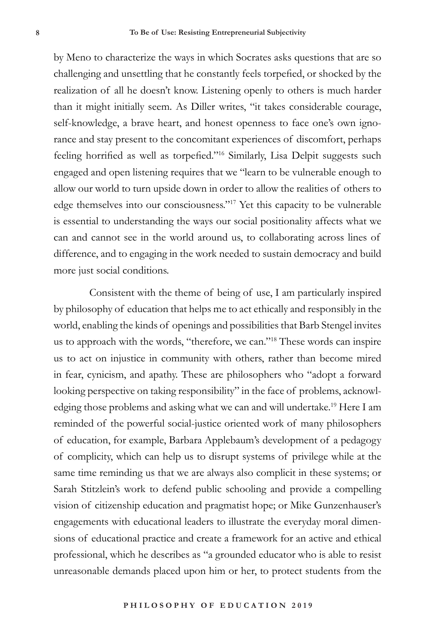by Meno to characterize the ways in which Socrates asks questions that are so challenging and unsettling that he constantly feels torpefied, or shocked by the realization of all he doesn't know. Listening openly to others is much harder than it might initially seem. As Diller writes, "it takes considerable courage, self-knowledge, a brave heart, and honest openness to face one's own ignorance and stay present to the concomitant experiences of discomfort, perhaps feeling horrified as well as torpefied."16 Similarly, Lisa Delpit suggests such engaged and open listening requires that we "learn to be vulnerable enough to allow our world to turn upside down in order to allow the realities of others to edge themselves into our consciousness."17 Yet this capacity to be vulnerable is essential to understanding the ways our social positionality affects what we can and cannot see in the world around us, to collaborating across lines of difference, and to engaging in the work needed to sustain democracy and build more just social conditions.

Consistent with the theme of being of use, I am particularly inspired by philosophy of education that helps me to act ethically and responsibly in the world, enabling the kinds of openings and possibilities that Barb Stengel invites us to approach with the words, "therefore, we can."18 These words can inspire us to act on injustice in community with others, rather than become mired in fear, cynicism, and apathy. These are philosophers who "adopt a forward looking perspective on taking responsibility" in the face of problems, acknowledging those problems and asking what we can and will undertake.19 Here I am reminded of the powerful social-justice oriented work of many philosophers of education, for example, Barbara Applebaum's development of a pedagogy of complicity, which can help us to disrupt systems of privilege while at the same time reminding us that we are always also complicit in these systems; or Sarah Stitzlein's work to defend public schooling and provide a compelling vision of citizenship education and pragmatist hope; or Mike Gunzenhauser's engagements with educational leaders to illustrate the everyday moral dimensions of educational practice and create a framework for an active and ethical professional, which he describes as "a grounded educator who is able to resist unreasonable demands placed upon him or her, to protect students from the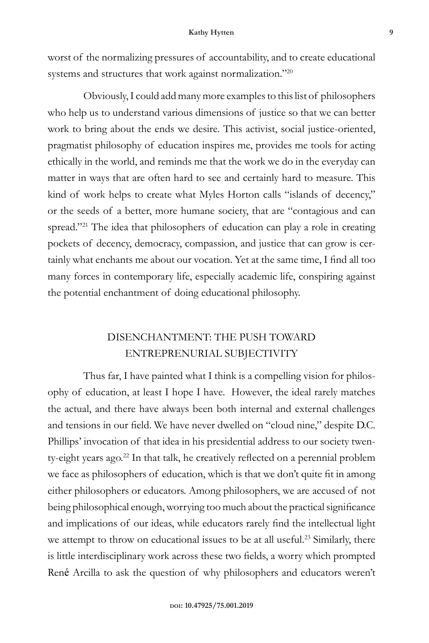worst of the normalizing pressures of accountability, and to create educational systems and structures that work against normalization."20

Obviously, I could add many more examples to this list of philosophers who help us to understand various dimensions of justice so that we can better work to bring about the ends we desire. This activist, social justice-oriented, pragmatist philosophy of education inspires me, provides me tools for acting ethically in the world, and reminds me that the work we do in the everyday can matter in ways that are often hard to see and certainly hard to measure. This kind of work helps to create what Myles Horton calls "islands of decency," or the seeds of a better, more humane society, that are "contagious and can spread."<sup>21</sup> The idea that philosophers of education can play a role in creating pockets of decency, democracy, compassion, and justice that can grow is certainly what enchants me about our vocation. Yet at the same time, I find all too many forces in contemporary life, especially academic life, conspiring against the potential enchantment of doing educational philosophy.

## DISENCHANTMENT: THE PUSH TOWARD ENTREPRENURIAL SUBJECTIVITY

Thus far, I have painted what I think is a compelling vision for philosophy of education, at least I hope I have. However, the ideal rarely matches the actual, and there have always been both internal and external challenges and tensions in our field. We have never dwelled on "cloud nine," despite D.C. Phillips' invocation of that idea in his presidential address to our society twenty-eight years ago.<sup>22</sup> In that talk, he creatively reflected on a perennial problem we face as philosophers of education, which is that we don't quite fit in among either philosophers or educators. Among philosophers, we are accused of not being philosophical enough, worrying too much about the practical significance and implications of our ideas, while educators rarely find the intellectual light we attempt to throw on educational issues to be at all useful.<sup>23</sup> Similarly, there is little interdisciplinary work across these two fields, a worry which prompted René Arcilla to ask the question of why philosophers and educators weren't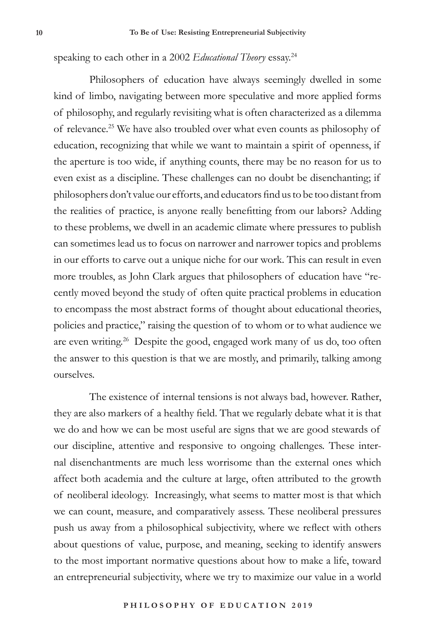speaking to each other in a 2002 *Educational Theory* essay.24

Philosophers of education have always seemingly dwelled in some kind of limbo, navigating between more speculative and more applied forms of philosophy, and regularly revisiting what is often characterized as a dilemma of relevance.25 We have also troubled over what even counts as philosophy of education, recognizing that while we want to maintain a spirit of openness, if the aperture is too wide, if anything counts, there may be no reason for us to even exist as a discipline. These challenges can no doubt be disenchanting; if philosophers don't value our efforts, and educators find us to be too distant from the realities of practice, is anyone really benefitting from our labors? Adding to these problems, we dwell in an academic climate where pressures to publish can sometimes lead us to focus on narrower and narrower topics and problems in our efforts to carve out a unique niche for our work. This can result in even more troubles, as John Clark argues that philosophers of education have "recently moved beyond the study of often quite practical problems in education to encompass the most abstract forms of thought about educational theories, policies and practice," raising the question of to whom or to what audience we are even writing.<sup>26</sup> Despite the good, engaged work many of us do, too often the answer to this question is that we are mostly, and primarily, talking among ourselves.

The existence of internal tensions is not always bad, however. Rather, they are also markers of a healthy field. That we regularly debate what it is that we do and how we can be most useful are signs that we are good stewards of our discipline, attentive and responsive to ongoing challenges. These internal disenchantments are much less worrisome than the external ones which affect both academia and the culture at large, often attributed to the growth of neoliberal ideology. Increasingly, what seems to matter most is that which we can count, measure, and comparatively assess. These neoliberal pressures push us away from a philosophical subjectivity, where we reflect with others about questions of value, purpose, and meaning, seeking to identify answers to the most important normative questions about how to make a life, toward an entrepreneurial subjectivity, where we try to maximize our value in a world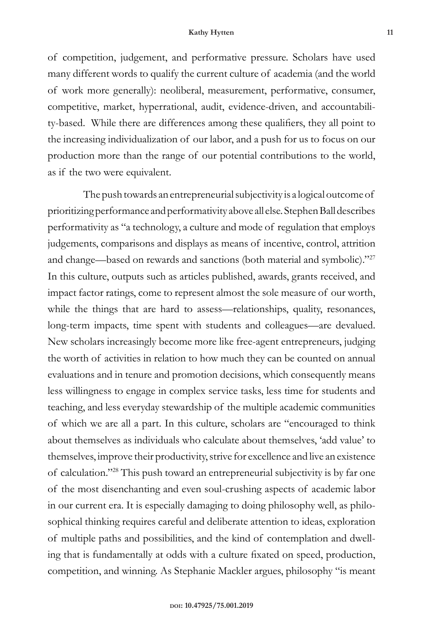of competition, judgement, and performative pressure. Scholars have used many different words to qualify the current culture of academia (and the world of work more generally): neoliberal, measurement, performative, consumer, competitive, market, hyperrational, audit, evidence-driven, and accountability-based. While there are differences among these qualifiers, they all point to the increasing individualization of our labor, and a push for us to focus on our production more than the range of our potential contributions to the world, as if the two were equivalent.

The push towards an entrepreneurial subjectivity is a logical outcome of prioritizing performance and performativity above all else. Stephen Ball describes performativity as "a technology, a culture and mode of regulation that employs judgements, comparisons and displays as means of incentive, control, attrition and change—based on rewards and sanctions (both material and symbolic)."27 In this culture, outputs such as articles published, awards, grants received, and impact factor ratings, come to represent almost the sole measure of our worth, while the things that are hard to assess—relationships, quality, resonances, long-term impacts, time spent with students and colleagues—are devalued. New scholars increasingly become more like free-agent entrepreneurs, judging the worth of activities in relation to how much they can be counted on annual evaluations and in tenure and promotion decisions, which consequently means less willingness to engage in complex service tasks, less time for students and teaching, and less everyday stewardship of the multiple academic communities of which we are all a part. In this culture, scholars are "encouraged to think about themselves as individuals who calculate about themselves, 'add value' to themselves, improve their productivity, strive for excellence and live an existence of calculation."28 This push toward an entrepreneurial subjectivity is by far one of the most disenchanting and even soul-crushing aspects of academic labor in our current era. It is especially damaging to doing philosophy well, as philosophical thinking requires careful and deliberate attention to ideas, exploration of multiple paths and possibilities, and the kind of contemplation and dwelling that is fundamentally at odds with a culture fixated on speed, production, competition, and winning. As Stephanie Mackler argues, philosophy "is meant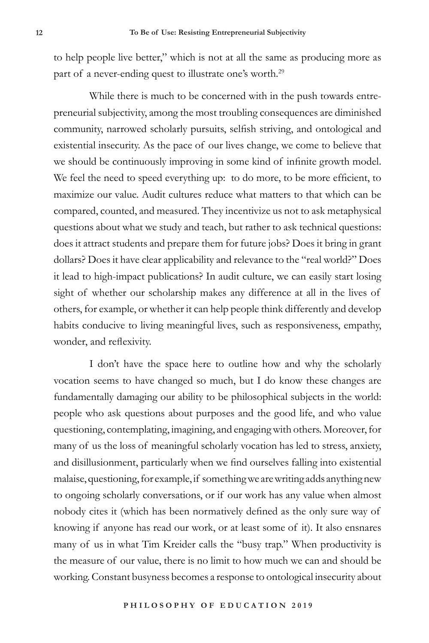to help people live better," which is not at all the same as producing more as part of a never-ending quest to illustrate one's worth.<sup>29</sup>

While there is much to be concerned with in the push towards entrepreneurial subjectivity, among the most troubling consequences are diminished community, narrowed scholarly pursuits, selfish striving, and ontological and existential insecurity. As the pace of our lives change, we come to believe that we should be continuously improving in some kind of infinite growth model. We feel the need to speed everything up: to do more, to be more efficient, to maximize our value. Audit cultures reduce what matters to that which can be compared, counted, and measured. They incentivize us not to ask metaphysical questions about what we study and teach, but rather to ask technical questions: does it attract students and prepare them for future jobs? Does it bring in grant dollars? Does it have clear applicability and relevance to the "real world?" Does it lead to high-impact publications? In audit culture, we can easily start losing sight of whether our scholarship makes any difference at all in the lives of others, for example, or whether it can help people think differently and develop habits conducive to living meaningful lives, such as responsiveness, empathy, wonder, and reflexivity.

I don't have the space here to outline how and why the scholarly vocation seems to have changed so much, but I do know these changes are fundamentally damaging our ability to be philosophical subjects in the world: people who ask questions about purposes and the good life, and who value questioning, contemplating, imagining, and engaging with others. Moreover, for many of us the loss of meaningful scholarly vocation has led to stress, anxiety, and disillusionment, particularly when we find ourselves falling into existential malaise, questioning, for example, if something we are writing adds anything new to ongoing scholarly conversations, or if our work has any value when almost nobody cites it (which has been normatively defined as the only sure way of knowing if anyone has read our work, or at least some of it). It also ensnares many of us in what Tim Kreider calls the "busy trap." When productivity is the measure of our value, there is no limit to how much we can and should be working. Constant busyness becomes a response to ontological insecurity about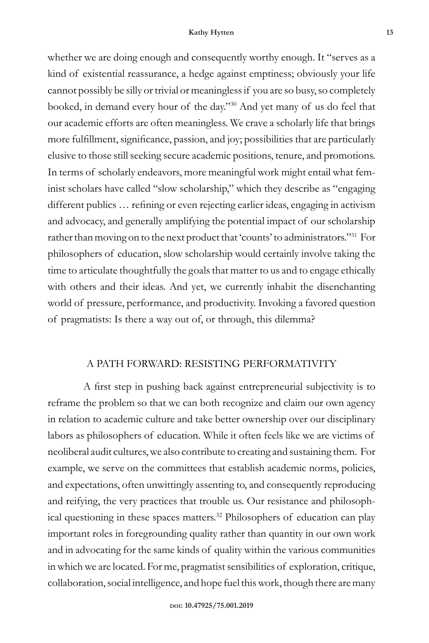whether we are doing enough and consequently worthy enough. It "serves as a kind of existential reassurance, a hedge against emptiness; obviously your life cannot possibly be silly or trivial or meaningless if you are so busy, so completely booked, in demand every hour of the day."30 And yet many of us do feel that our academic efforts are often meaningless. We crave a scholarly life that brings more fulfillment, significance, passion, and joy; possibilities that are particularly elusive to those still seeking secure academic positions, tenure, and promotions. In terms of scholarly endeavors, more meaningful work might entail what feminist scholars have called "slow scholarship," which they describe as "engaging different publics … refining or even rejecting earlier ideas, engaging in activism and advocacy, and generally amplifying the potential impact of our scholarship rather than moving on to the next product that 'counts' to administrators."31 For philosophers of education, slow scholarship would certainly involve taking the time to articulate thoughtfully the goals that matter to us and to engage ethically with others and their ideas. And yet, we currently inhabit the disenchanting world of pressure, performance, and productivity. Invoking a favored question of pragmatists: Is there a way out of, or through, this dilemma?

## A PATH FORWARD: RESISTING PERFORMATIVITY

A first step in pushing back against entrepreneurial subjectivity is to reframe the problem so that we can both recognize and claim our own agency in relation to academic culture and take better ownership over our disciplinary labors as philosophers of education. While it often feels like we are victims of neoliberal audit cultures, we also contribute to creating and sustaining them. For example, we serve on the committees that establish academic norms, policies, and expectations, often unwittingly assenting to, and consequently reproducing and reifying, the very practices that trouble us. Our resistance and philosophical questioning in these spaces matters.32 Philosophers of education can play important roles in foregrounding quality rather than quantity in our own work and in advocating for the same kinds of quality within the various communities in which we are located. For me, pragmatist sensibilities of exploration, critique, collaboration, social intelligence, and hope fuel this work, though there are many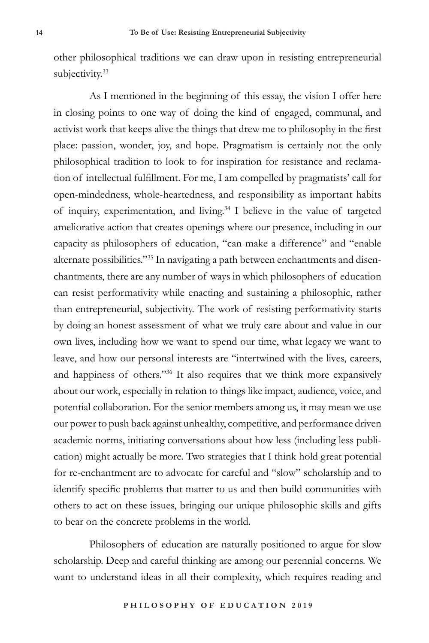other philosophical traditions we can draw upon in resisting entrepreneurial subjectivity.<sup>33</sup>

As I mentioned in the beginning of this essay, the vision I offer here in closing points to one way of doing the kind of engaged, communal, and activist work that keeps alive the things that drew me to philosophy in the first place: passion, wonder, joy, and hope. Pragmatism is certainly not the only philosophical tradition to look to for inspiration for resistance and reclamation of intellectual fulfillment. For me, I am compelled by pragmatists' call for open-mindedness, whole-heartedness, and responsibility as important habits of inquiry, experimentation, and living.<sup>34</sup> I believe in the value of targeted ameliorative action that creates openings where our presence, including in our capacity as philosophers of education, "can make a difference" and "enable alternate possibilities."35 In navigating a path between enchantments and disenchantments, there are any number of ways in which philosophers of education can resist performativity while enacting and sustaining a philosophic, rather than entrepreneurial, subjectivity. The work of resisting performativity starts by doing an honest assessment of what we truly care about and value in our own lives, including how we want to spend our time, what legacy we want to leave, and how our personal interests are "intertwined with the lives, careers, and happiness of others."<sup>36</sup> It also requires that we think more expansively about our work, especially in relation to things like impact, audience, voice, and potential collaboration. For the senior members among us, it may mean we use our power to push back against unhealthy, competitive, and performance driven academic norms, initiating conversations about how less (including less publication) might actually be more. Two strategies that I think hold great potential for re-enchantment are to advocate for careful and "slow" scholarship and to identify specific problems that matter to us and then build communities with others to act on these issues, bringing our unique philosophic skills and gifts to bear on the concrete problems in the world.

Philosophers of education are naturally positioned to argue for slow scholarship. Deep and careful thinking are among our perennial concerns. We want to understand ideas in all their complexity, which requires reading and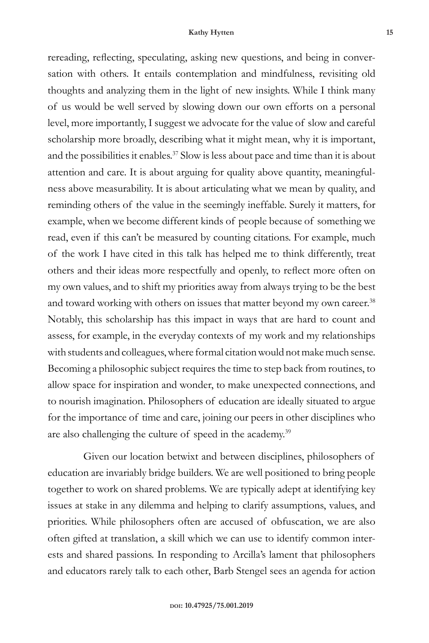rereading, reflecting, speculating, asking new questions, and being in conversation with others. It entails contemplation and mindfulness, revisiting old thoughts and analyzing them in the light of new insights. While I think many of us would be well served by slowing down our own efforts on a personal level, more importantly, I suggest we advocate for the value of slow and careful scholarship more broadly, describing what it might mean, why it is important, and the possibilities it enables. $37$  Slow is less about pace and time than it is about attention and care. It is about arguing for quality above quantity, meaningfulness above measurability. It is about articulating what we mean by quality, and reminding others of the value in the seemingly ineffable. Surely it matters, for example, when we become different kinds of people because of something we read, even if this can't be measured by counting citations. For example, much of the work I have cited in this talk has helped me to think differently, treat others and their ideas more respectfully and openly, to reflect more often on my own values, and to shift my priorities away from always trying to be the best and toward working with others on issues that matter beyond my own career.<sup>38</sup> Notably, this scholarship has this impact in ways that are hard to count and assess, for example, in the everyday contexts of my work and my relationships with students and colleagues, where formal citation would not make much sense. Becoming a philosophic subject requires the time to step back from routines, to allow space for inspiration and wonder, to make unexpected connections, and to nourish imagination. Philosophers of education are ideally situated to argue for the importance of time and care, joining our peers in other disciplines who are also challenging the culture of speed in the academy.39

Given our location betwixt and between disciplines, philosophers of education are invariably bridge builders. We are well positioned to bring people together to work on shared problems. We are typically adept at identifying key issues at stake in any dilemma and helping to clarify assumptions, values, and priorities. While philosophers often are accused of obfuscation, we are also often gifted at translation, a skill which we can use to identify common interests and shared passions. In responding to Arcilla's lament that philosophers and educators rarely talk to each other, Barb Stengel sees an agenda for action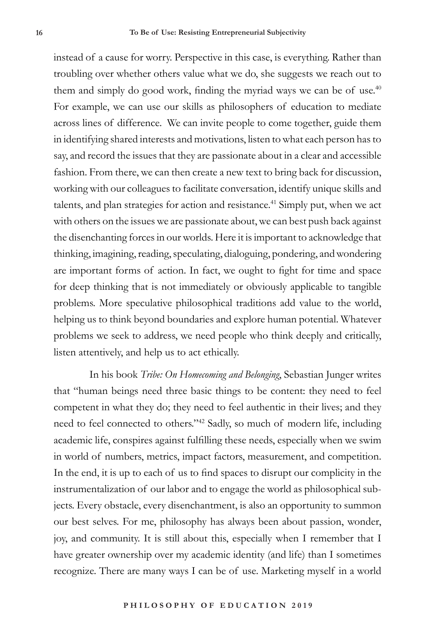instead of a cause for worry. Perspective in this case, is everything. Rather than troubling over whether others value what we do, she suggests we reach out to them and simply do good work, finding the myriad ways we can be of use.<sup>40</sup> For example, we can use our skills as philosophers of education to mediate across lines of difference. We can invite people to come together, guide them in identifying shared interests and motivations, listen to what each person has to say, and record the issues that they are passionate about in a clear and accessible fashion. From there, we can then create a new text to bring back for discussion, working with our colleagues to facilitate conversation, identify unique skills and talents, and plan strategies for action and resistance.<sup>41</sup> Simply put, when we act with others on the issues we are passionate about, we can best push back against the disenchanting forces in our worlds. Here it is important to acknowledge that thinking, imagining, reading, speculating, dialoguing, pondering, and wondering are important forms of action. In fact, we ought to fight for time and space for deep thinking that is not immediately or obviously applicable to tangible problems. More speculative philosophical traditions add value to the world, helping us to think beyond boundaries and explore human potential. Whatever problems we seek to address, we need people who think deeply and critically, listen attentively, and help us to act ethically.

In his book *Tribe: On Homecoming and Belonging*, Sebastian Junger writes that "human beings need three basic things to be content: they need to feel competent in what they do; they need to feel authentic in their lives; and they need to feel connected to others."42 Sadly, so much of modern life, including academic life, conspires against fulfilling these needs, especially when we swim in world of numbers, metrics, impact factors, measurement, and competition. In the end, it is up to each of us to find spaces to disrupt our complicity in the instrumentalization of our labor and to engage the world as philosophical subjects. Every obstacle, every disenchantment, is also an opportunity to summon our best selves. For me, philosophy has always been about passion, wonder, joy, and community. It is still about this, especially when I remember that I have greater ownership over my academic identity (and life) than I sometimes recognize. There are many ways I can be of use. Marketing myself in a world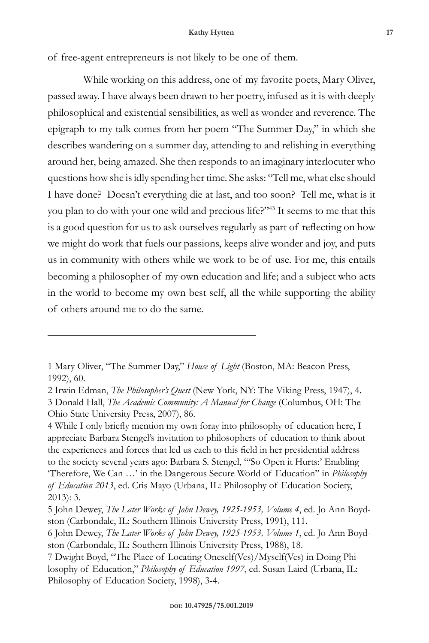of free-agent entrepreneurs is not likely to be one of them.

While working on this address, one of my favorite poets, Mary Oliver, passed away. I have always been drawn to her poetry, infused as it is with deeply philosophical and existential sensibilities, as well as wonder and reverence. The epigraph to my talk comes from her poem "The Summer Day," in which she describes wandering on a summer day, attending to and relishing in everything around her, being amazed. She then responds to an imaginary interlocuter who questions how she is idly spending her time. She asks: "Tell me, what else should I have done? Doesn't everything die at last, and too soon? Tell me, what is it you plan to do with your one wild and precious life?"43 It seems to me that this is a good question for us to ask ourselves regularly as part of reflecting on how we might do work that fuels our passions, keeps alive wonder and joy, and puts us in community with others while we work to be of use. For me, this entails becoming a philosopher of my own education and life; and a subject who acts in the world to become my own best self, all the while supporting the ability of others around me to do the same.

4 While I only briefly mention my own foray into philosophy of education here, I appreciate Barbara Stengel's invitation to philosophers of education to think about the experiences and forces that led us each to this field in her presidential address to the society several years ago: Barbara S. Stengel, "'So Open it Hurts:' Enabling 'Therefore, We Can …' in the Dangerous Secure World of Education" in *Philosophy of Education 2013*, ed. Cris Mayo (Urbana, IL: Philosophy of Education Society, 2013): 3.

<sup>1</sup> Mary Oliver, "The Summer Day," *House of Light* (Boston, MA: Beacon Press, 1992), 60.

<sup>2</sup> Irwin Edman, *The Philosopher's Quest* (New York, NY: The Viking Press, 1947), 4. 3 Donald Hall, *The Academic Community: A Manual for Change* (Columbus, OH: The Ohio State University Press, 2007), 86.

<sup>5</sup> John Dewey, *The Later Works of John Dewey, 1925-1953, Volume 4*, ed. Jo Ann Boydston (Carbondale, IL: Southern Illinois University Press, 1991), 111.

<sup>6</sup> John Dewey, *The Later Works of John Dewey, 1925-1953, Volume 1*, ed. Jo Ann Boydston (Carbondale, IL: Southern Illinois University Press, 1988), 18.

<sup>7</sup> Dwight Boyd, "The Place of Locating Oneself(Ves)/Myself(Ves) in Doing Philosophy of Education," *Philosophy of Education 1997*, ed. Susan Laird (Urbana, IL: Philosophy of Education Society, 1998), 3-4.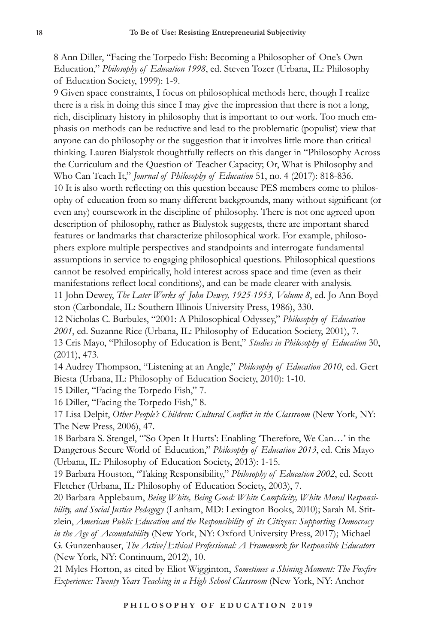8 Ann Diller, "Facing the Torpedo Fish: Becoming a Philosopher of One's Own Education," *Philosophy of Education 1998*, ed. Steven Tozer (Urbana, IL: Philosophy of Education Society, 1999): 1-9.

9 Given space constraints, I focus on philosophical methods here, though I realize there is a risk in doing this since I may give the impression that there is not a long, rich, disciplinary history in philosophy that is important to our work. Too much emphasis on methods can be reductive and lead to the problematic (populist) view that anyone can do philosophy or the suggestion that it involves little more than critical thinking. Lauren Bialystok thoughtfully reflects on this danger in "Philosophy Across the Curriculum and the Question of Teacher Capacity; Or, What is Philosophy and Who Can Teach It," *Journal of Philosophy of Education* 51, no. 4 (2017): 818-836. 10 It is also worth reflecting on this question because PES members come to philosophy of education from so many different backgrounds, many without significant (or even any) coursework in the discipline of philosophy. There is not one agreed upon description of philosophy, rather as Bialystok suggests, there are important shared features or landmarks that characterize philosophical work. For example, philosophers explore multiple perspectives and standpoints and interrogate fundamental assumptions in service to engaging philosophical questions. Philosophical questions cannot be resolved empirically, hold interest across space and time (even as their manifestations reflect local conditions), and can be made clearer with analysis. 11 John Dewey, *The Later Works of John Dewey, 1925-1953, Volume 8*, ed. Jo Ann Boydston (Carbondale, IL: Southern Illinois University Press, 1986), 330.

12 Nicholas C. Burbules, "2001: A Philosophical Odyssey," *Philosophy of Education 2001*, ed. Suzanne Rice (Urbana, IL: Philosophy of Education Society, 2001), 7. 13 Cris Mayo, "Philosophy of Education is Bent," *Studies in Philosophy of Education* 30, (2011), 473.

14 Audrey Thompson, "Listening at an Angle," *Philosophy of Education 2010*, ed. Gert Biesta (Urbana, IL: Philosophy of Education Society, 2010): 1-10.

15 Diller, "Facing the Torpedo Fish," 7.

16 Diller, "Facing the Torpedo Fish," 8.

17 Lisa Delpit, *Other People's Children: Cultural Conflict in the Classroom* (New York, NY: The New Press, 2006), 47.

18 Barbara S. Stengel, "'So Open It Hurts': Enabling 'Therefore, We Can…' in the Dangerous Secure World of Education," *Philosophy of Education 2013*, ed. Cris Mayo (Urbana, IL: Philosophy of Education Society, 2013): 1-15.

19 Barbara Houston, "Taking Responsibility," *Philosophy of Education 2002*, ed. Scott Fletcher (Urbana, IL: Philosophy of Education Society, 2003), 7.

20 Barbara Applebaum, *Being White, Being Good: White Complicity, White Moral Responsibility, and Social Justice Pedagogy* (Lanham, MD: Lexington Books, 2010); Sarah M. Stitzlein, *American Public Education and the Responsibility of its Citizens: Supporting Democracy in the Age of Accountability* (New York, NY: Oxford University Press, 2017); Michael G. Gunzenhauser, *The Active/Ethical Professional: A Framework for Responsible Educators* (New York, NY: Continuum, 2012), 10.

21 Myles Horton, as cited by Eliot Wigginton, *Sometimes a Shining Moment: The Foxfire Experience: Twenty Years Teaching in a High School Classroom* (New York, NY: Anchor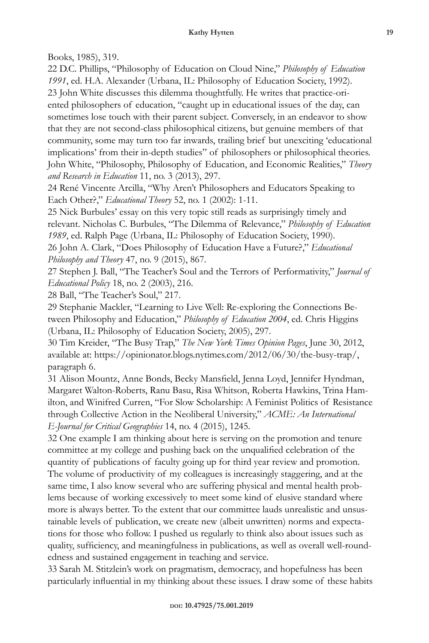Books, 1985), 319.

22 D.C. Phillips, "Philosophy of Education on Cloud Nine," *Philosophy of Education 1991*, ed. H.A. Alexander (Urbana, IL: Philosophy of Education Society, 1992). 23 John White discusses this dilemma thoughtfully. He writes that practice-oriented philosophers of education, "caught up in educational issues of the day, can sometimes lose touch with their parent subject. Conversely, in an endeavor to show that they are not second-class philosophical citizens, but genuine members of that community, some may turn too far inwards, trailing brief but unexciting 'educational implications' from their in-depth studies" of philosophers or philosophical theories. John White, "Philosophy, Philosophy of Education, and Economic Realities," *Theory and Research in Education* 11, no. 3 (2013), 297.

24 René Vincente Arcilla, "Why Aren't Philosophers and Educators Speaking to Each Other?," *Educational Theory* 52, no. 1 (2002): 1-11.

25 Nick Burbules' essay on this very topic still reads as surprisingly timely and relevant. Nicholas C. Burbules, "The Dilemma of Relevance," *Philosophy of Education 1989*, ed. Ralph Page (Urbana, IL: Philosophy of Education Society, 1990).

26 John A. Clark, "Does Philosophy of Education Have a Future?," *Educational Philosophy and Theory* 47, no. 9 (2015), 867.

27 Stephen J. Ball, "The Teacher's Soul and the Terrors of Performativity," *Journal of Educational Policy* 18, no. 2 (2003), 216.

28 Ball, "The Teacher's Soul," 217.

29 Stephanie Mackler, "Learning to Live Well: Re-exploring the Connections Between Philosophy and Education," *Philosophy of Education 2004*, ed. Chris Higgins (Urbana, IL: Philosophy of Education Society, 2005), 297.

30 Tim Kreider, "The Busy Trap," *The New York Times Opinion Pages*, June 30, 2012, available at: https://opinionator.blogs.nytimes.com/2012/06/30/the-busy-trap/, paragraph 6.

31 Alison Mountz, Anne Bonds, Becky Mansfield, Jenna Loyd, Jennifer Hyndman, Margaret Walton-Roberts, Ranu Basu, Risa Whitson, Roberta Hawkins, Trina Hamilton, and Winifred Curren, "For Slow Scholarship: A Feminist Politics of Resistance through Collective Action in the Neoliberal University," *ACME: An International E-Journal for Critical Geographies* 14, no. 4 (2015), 1245.

32 One example I am thinking about here is serving on the promotion and tenure committee at my college and pushing back on the unqualified celebration of the quantity of publications of faculty going up for third year review and promotion. The volume of productivity of my colleagues is increasingly staggering, and at the same time, I also know several who are suffering physical and mental health problems because of working excessively to meet some kind of elusive standard where more is always better. To the extent that our committee lauds unrealistic and unsustainable levels of publication, we create new (albeit unwritten) norms and expectations for those who follow. I pushed us regularly to think also about issues such as quality, sufficiency, and meaningfulness in publications, as well as overall well-roundedness and sustained engagement in teaching and service.

33 Sarah M. Stitzlein's work on pragmatism, democracy, and hopefulness has been particularly influential in my thinking about these issues. I draw some of these habits